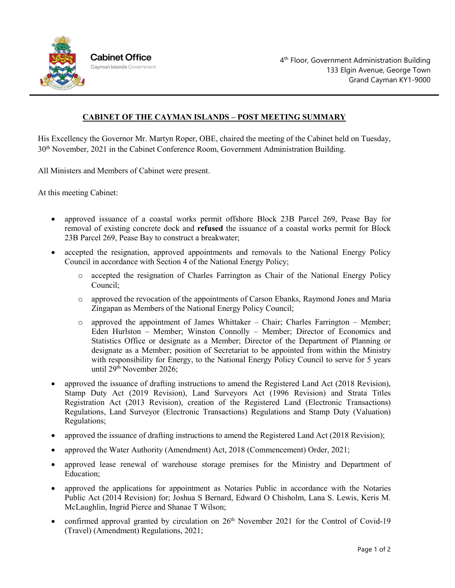

## **CABINET OF THE CAYMAN ISLANDS – POST MEETING SUMMARY**

His Excellency the Governor Mr. Martyn Roper, OBE, chaired the meeting of the Cabinet held on Tuesday, 30th November, 2021 in the Cabinet Conference Room, Government Administration Building.

All Ministers and Members of Cabinet were present.

At this meeting Cabinet:

- approved issuance of a coastal works permit offshore Block 23B Parcel 269, Pease Bay for removal of existing concrete dock and **refused** the issuance of a coastal works permit for Block 23B Parcel 269, Pease Bay to construct a breakwater;
- accepted the resignation, approved appointments and removals to the National Energy Policy Council in accordance with Section 4 of the National Energy Policy;
	- o accepted the resignation of Charles Farrington as Chair of the National Energy Policy Council;
	- o approved the revocation of the appointments of Carson Ebanks, Raymond Jones and Maria Zingapan as Members of the National Energy Policy Council;
	- $\circ$  approved the appointment of James Whittaker Chair; Charles Farrington Member; Eden Hurlston – Member; Winston Connolly – Member; Director of Economics and Statistics Office or designate as a Member; Director of the Department of Planning or designate as a Member; position of Secretariat to be appointed from within the Ministry with responsibility for Energy, to the National Energy Policy Council to serve for 5 years until 29<sup>th</sup> November 2026;
- approved the issuance of drafting instructions to amend the Registered Land Act (2018 Revision), Stamp Duty Act (2019 Revision), Land Surveyors Act (1996 Revision) and Strata Titles Registration Act (2013 Revision), creation of the Registered Land (Electronic Transactions) Regulations, Land Surveyor (Electronic Transactions) Regulations and Stamp Duty (Valuation) Regulations;
- approved the issuance of drafting instructions to amend the Registered Land Act (2018 Revision);
- approved the Water Authority (Amendment) Act, 2018 (Commencement) Order, 2021;
- approved lease renewal of warehouse storage premises for the Ministry and Department of Education;
- approved the applications for appointment as Notaries Public in accordance with the Notaries Public Act (2014 Revision) for; Joshua S Bernard, Edward O Chisholm, Lana S. Lewis, Keris M. McLaughlin, Ingrid Pierce and Shanae T Wilson;
- confirmed approval granted by circulation on  $26<sup>th</sup>$  November 2021 for the Control of Covid-19 (Travel) (Amendment) Regulations, 2021;